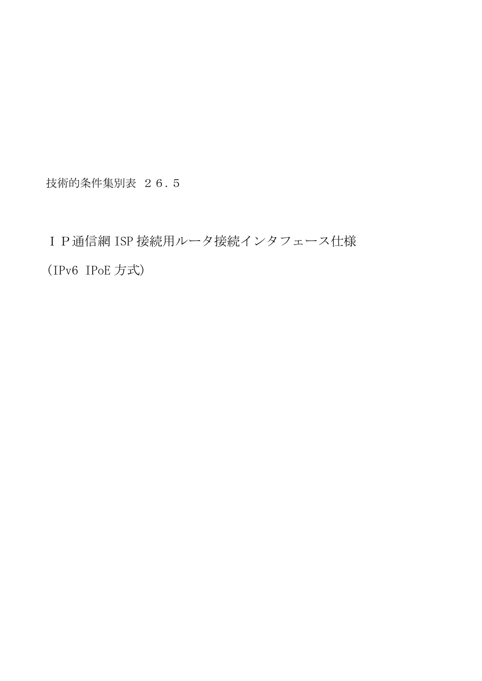技術的条件集別表 26.5

IP通信網 ISP 接続用ルータ接続インタフェース仕様 (IPv6 IPoE 方式)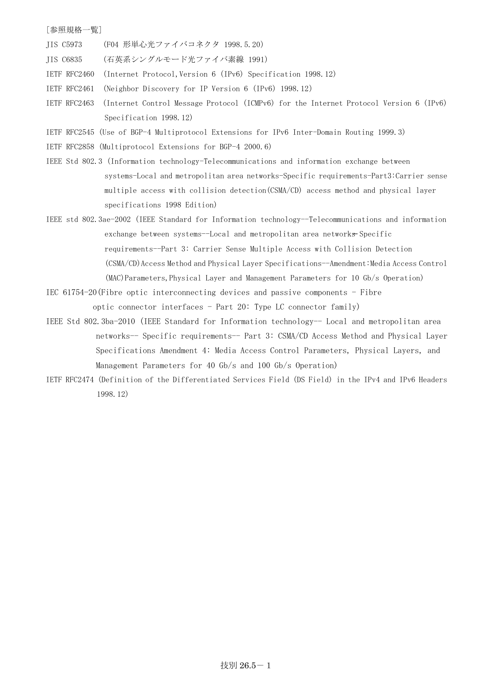## [参照規格一覧]

- JIS C5973 (F04 形単心光ファイバコネクタ 1998.5.20)
- JIS C6835 (石英系シングルモード光ファイバ素線 1991)
- IETF RFC2460 (Internet Protocol,Version 6 (IPv6) Specification 1998.12)
- IETF RFC2461 (Neighbor Discovery for IP Version 6 (IPv6) 1998.12)
- IETF RFC2463 (Internet Control Message Protocol (ICMPv6) for the Internet Protocol Version 6 (IPv6) Specification 1998.12)
- IETF RFC2545 (Use of BGP-4 Multiprotocol Extensions for IPv6 Inter-Domain Routing 1999.3)
- IETF RFC2858 (Multiprotocol Extensions for BGP-4 2000.6)
- IEEE Std 802.3 (Information technology-Telecommunications and information exchange between systems-Local and metropolitan area networks-Specific requirements-Part3:Carrier sense multiple access with collision detection(CSMA/CD) access method and physical layer specifications 1998 Edition)
- IEEE std 802.3ae-2002 (IEEE Standard for Information technology--Telecommunications and information exchange between systems--Local and metropolitan area networks-Specific requirements--Part 3: Carrier Sense Multiple Access with Collision Detection (CSMA/CD)Access Method and Physical Layer Specifications--Amendment:Media Access Control (MAC)Parameters,Physical Layer and Management Parameters for 10 Gb/s Operation)
- IEC 61754-20(Fibre optic interconnecting devices and passive components Fibre optic connector interfaces - Part 20: Type LC connector family)
- IEEE Std 802.3ba-2010 (IEEE Standard for Information technology-- Local and metropolitan area networks-- Specific requirements-- Part 3: CSMA/CD Access Method and Physical Layer Specifications Amendment 4: Media Access Control Parameters, Physical Layers, and Management Parameters for 40 Gb/s and 100 Gb/s Operation)
- IETF RFC2474 (Definition of the Differentiated Services Field (DS Field) in the IPv4 and IPv6 Headers 1998.12)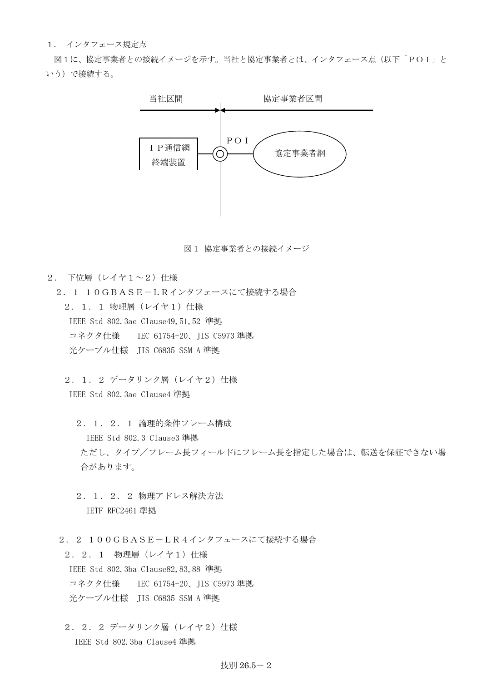## 1. インタフェース規定点

図1に、協定事業者との接続イメージを示す。当社と協定事業者とは、インタフェース点(以下「POI」と いう)で接続する。



図1 協定事業者との接続イメージ

- 2. 下位層(レイヤ1~2)仕様
- 2.1 10GBASE-LRインタフェースにて接続する場合 2. 1. 1 物理層 (レイヤ1) 仕様 IEEE Std 802.3ae Clause49,51,52 準拠 コネクタ仕様 IEC 61754-20、JIS C5973 準拠 光ケーブル仕様 JIS C6835 SSM A 準拠
	- 2. 1. 2 データリンク層 (レイヤ2) 仕様 IEEE Std 802.3ae Clause4 準拠
		- 2.1.2.1 論理的条件フレーム構成 IEEE Std 802.3 Clause3 準拠 ただし、タイプ/フレーム長フィールドにフレーム長を指定した場合は、転送を保証できない場 合があります。
		- 2.1.2.2 物理アドレス解決方法 IETF RFC2461 準拠
	- 2.2 100GBASE-LR4インタフェースにて接続する場合

2. 2. 1 物理層 (レイヤ1) 什様 IEEE Std 802.3ba Clause82,83,88 準拠 コネクタ仕様 IEC 61754-20、JIS C5973 準拠 光ケーブル仕様 JIS C6835 SSM A 準拠

2. 2. 2 データリンク層 (レイヤ2) 仕様 IEEE Std 802.3ba Clause4 準拠